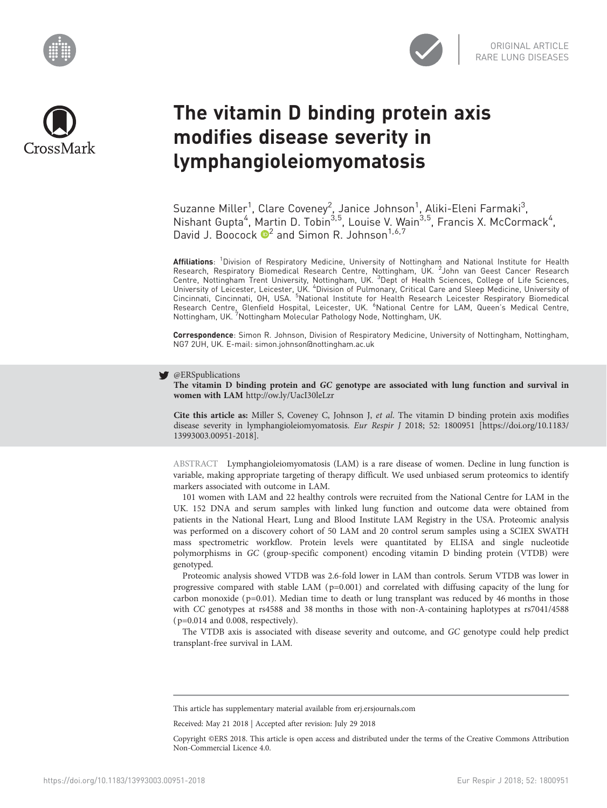





# The vitamin D binding protein axis modifies disease severity in lymphangioleiomyomatosis

Suzanne Miller<sup>1</sup>, Clare Coveney<sup>2</sup>, Janice Johnson<sup>1</sup>, Aliki-Eleni Farmaki<sup>3</sup>, Nishant Gupta<sup>4</sup>, Martin D. Tobin<sup>3,5</sup>, Louise V. Wain<sup>3,5</sup>, Francis X. McCormack<sup>4</sup>, David J. Boocock  $\mathbb{D}^2$  and Simon R. Johnson<sup>1,6,7</sup>

Affiliations: <sup>1</sup>Division of Respiratory Medicine, University of Nottingham and National Institute for Health Research, Respiratory Biomedical Research Centre, Nottingham, UK. <sup>2</sup>John van Geest Cancer Research<br>Centre, Nottingham Trent University, Nottingham, UK. <sup>3</sup>Dept of Health Sciences, College of Life Sciences,<br>University of L Research Centre, Glenfield Hospital, Leicester, UK. <sup>6</sup>National Centre for LAM, Queen's Medical Centre,<br>Nottingham, UK. <sup>7</sup>Nottingham Molecular Pathology Node, Nottingham, UK.

Correspondence: Simon R. Johnson, Division of Respiratory Medicine, University of Nottingham, Nottingham, NG7 2UH, UK. E-mail: [simon.johnson@nottingham.ac.uk](mailto:simon.johnson@nottingham.ac.uk)

#### @ERSpublications W

The vitamin D binding protein and GC genotype are associated with lung function and survival in women with LAM <http://ow.ly/UacI30leLzr>

Cite this article as: Miller S, Coveney C, Johnson J, et al. The vitamin D binding protein axis modifies disease severity in lymphangioleiomyomatosis. Eur Respir J 2018; 52: 1800951 [\[https://doi.org/10.1183/](https://doi.org/10.1183/13993003.00951-2018) [13993003.00951-2018\].](https://doi.org/10.1183/13993003.00951-2018)

ABSTRACT Lymphangioleiomyomatosis (LAM) is a rare disease of women. Decline in lung function is variable, making appropriate targeting of therapy difficult. We used unbiased serum proteomics to identify markers associated with outcome in LAM.

101 women with LAM and 22 healthy controls were recruited from the National Centre for LAM in the UK. 152 DNA and serum samples with linked lung function and outcome data were obtained from patients in the National Heart, Lung and Blood Institute LAM Registry in the USA. Proteomic analysis was performed on a discovery cohort of 50 LAM and 20 control serum samples using a SCIEX SWATH mass spectrometric workflow. Protein levels were quantitated by ELISA and single nucleotide polymorphisms in GC (group-specific component) encoding vitamin D binding protein (VTDB) were genotyped.

Proteomic analysis showed VTDB was 2.6-fold lower in LAM than controls. Serum VTDB was lower in progressive compared with stable LAM  $(p=0.001)$  and correlated with diffusing capacity of the lung for carbon monoxide ( $p=0.01$ ). Median time to death or lung transplant was reduced by 46 months in those with CC genotypes at rs4588 and 38 months in those with non-A-containing haplotypes at rs7041/4588  $(p=0.014$  and 0.008, respectively).

The VTDB axis is associated with disease severity and outcome, and GC genotype could help predict transplant-free survival in LAM.

This article has supplementary material available from<erj.ersjournals.com>

Received: May 21 2018 | Accepted after revision: July 29 2018

Copyright ©ERS 2018. This article is open access and distributed under the terms of the Creative Commons Attribution Non-Commercial Licence 4.0.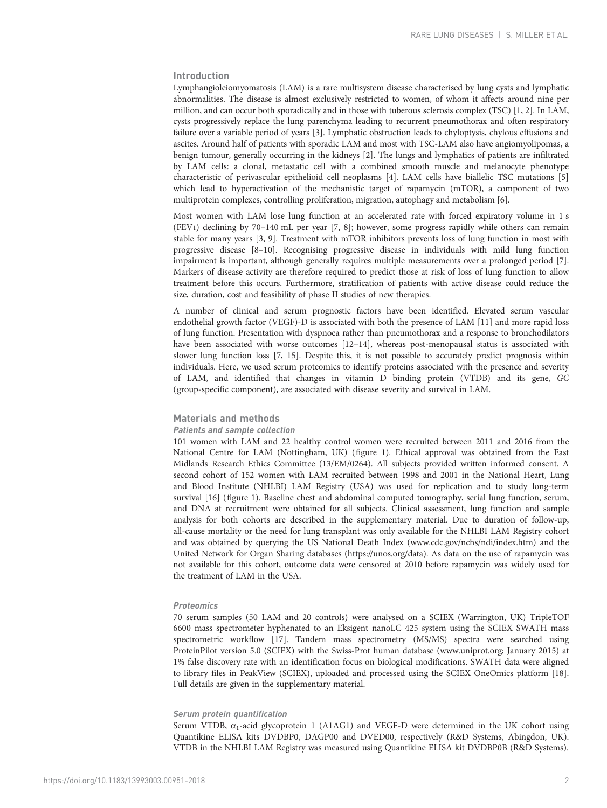# Introduction

Lymphangioleiomyomatosis (LAM) is a rare multisystem disease characterised by lung cysts and lymphatic abnormalities. The disease is almost exclusively restricted to women, of whom it affects around nine per million, and can occur both sporadically and in those with tuberous sclerosis complex (TSC) [[1](#page-8-0), [2\]](#page-8-0). In LAM, cysts progressively replace the lung parenchyma leading to recurrent pneumothorax and often respiratory failure over a variable period of years [[3\]](#page-8-0). Lymphatic obstruction leads to chyloptysis, chylous effusions and ascites. Around half of patients with sporadic LAM and most with TSC-LAM also have angiomyolipomas, a benign tumour, generally occurring in the kidneys [\[2](#page-8-0)]. The lungs and lymphatics of patients are infiltrated by LAM cells: a clonal, metastatic cell with a combined smooth muscle and melanocyte phenotype characteristic of perivascular epithelioid cell neoplasms [[4](#page-8-0)]. LAM cells have biallelic TSC mutations [[5](#page-8-0)] which lead to hyperactivation of the mechanistic target of rapamycin (mTOR), a component of two multiprotein complexes, controlling proliferation, migration, autophagy and metabolism [[6](#page-8-0)].

Most women with LAM lose lung function at an accelerated rate with forced expiratory volume in 1 s (FEV1) declining by 70–140 mL per year [[7, 8\]](#page-8-0); however, some progress rapidly while others can remain stable for many years [\[3](#page-8-0), [9\]](#page-8-0). Treatment with mTOR inhibitors prevents loss of lung function in most with progressive disease [[8](#page-8-0)–[10](#page-8-0)]. Recognising progressive disease in individuals with mild lung function impairment is important, although generally requires multiple measurements over a prolonged period [\[7](#page-8-0)]. Markers of disease activity are therefore required to predict those at risk of loss of lung function to allow treatment before this occurs. Furthermore, stratification of patients with active disease could reduce the size, duration, cost and feasibility of phase II studies of new therapies.

A number of clinical and serum prognostic factors have been identified. Elevated serum vascular endothelial growth factor (VEGF)-D is associated with both the presence of LAM [[11](#page-8-0)] and more rapid loss of lung function. Presentation with dyspnoea rather than pneumothorax and a response to bronchodilators have been associated with worse outcomes [[12](#page-8-0)-[14](#page-8-0)], whereas post-menopausal status is associated with slower lung function loss [\[7, 15](#page-8-0)]. Despite this, it is not possible to accurately predict prognosis within individuals. Here, we used serum proteomics to identify proteins associated with the presence and severity of LAM, and identified that changes in vitamin D binding protein (VTDB) and its gene, GC (group-specific component), are associated with disease severity and survival in LAM.

# Materials and methods

#### Patients and sample collection

101 women with LAM and 22 healthy control women were recruited between 2011 and 2016 from the National Centre for LAM (Nottingham, UK) ([figure 1\)](#page-2-0). Ethical approval was obtained from the East Midlands Research Ethics Committee (13/EM/0264). All subjects provided written informed consent. A second cohort of 152 women with LAM recruited between 1998 and 2001 in the National Heart, Lung and Blood Institute (NHLBI) LAM Registry (USA) was used for replication and to study long-term survival [\[16\]](#page-8-0) [\(figure 1\)](#page-2-0). Baseline chest and abdominal computed tomography, serial lung function, serum, and DNA at recruitment were obtained for all subjects. Clinical assessment, lung function and sample analysis for both cohorts are described in the [supplementary material.](http://erj.ersjournals.com/lookup/doi/10.1183/13993003.00951-2018.figures-only#fig-data-supplementary-materials) Due to duration of follow-up, all-cause mortality or the need for lung transplant was only available for the NHLBI LAM Registry cohort and was obtained by querying the US National Death Index ([www.cdc.gov/nchs/ndi/index.htm](http://www.cdc.gov/nchs/ndi/index.htm)) and the United Network for Organ Sharing databases [\(https://unos.org/data](https://unos.org/data/)). As data on the use of rapamycin was not available for this cohort, outcome data were censored at 2010 before rapamycin was widely used for the treatment of LAM in the USA.

# Proteomics

70 serum samples (50 LAM and 20 controls) were analysed on a SCIEX (Warrington, UK) TripleTOF 6600 mass spectrometer hyphenated to an Eksigent nanoLC 425 system using the SCIEX SWATH mass spectrometric workflow [\[17](#page-8-0)]. Tandem mass spectrometry (MS/MS) spectra were searched using ProteinPilot version 5.0 (SCIEX) with the Swiss-Prot human database ([www.uniprot.org;](http://www.uniprot.org/) January 2015) at 1% false discovery rate with an identification focus on biological modifications. SWATH data were aligned to library files in PeakView (SCIEX), uploaded and processed using the SCIEX OneOmics platform [[18](#page-8-0)]. Full details are given in the [supplementary material](http://erj.ersjournals.com/lookup/doi/10.1183/13993003.00951-2018.figures-only#fig-data-supplementary-materials).

#### Serum protein quantification

Serum VTDB,  $\alpha_1$ -acid glycoprotein 1 (A1AG1) and VEGF-D were determined in the UK cohort using Quantikine ELISA kits DVDBP0, DAGP00 and DVED00, respectively (R&D Systems, Abingdon, UK). VTDB in the NHLBI LAM Registry was measured using Quantikine ELISA kit DVDBP0B (R&D Systems).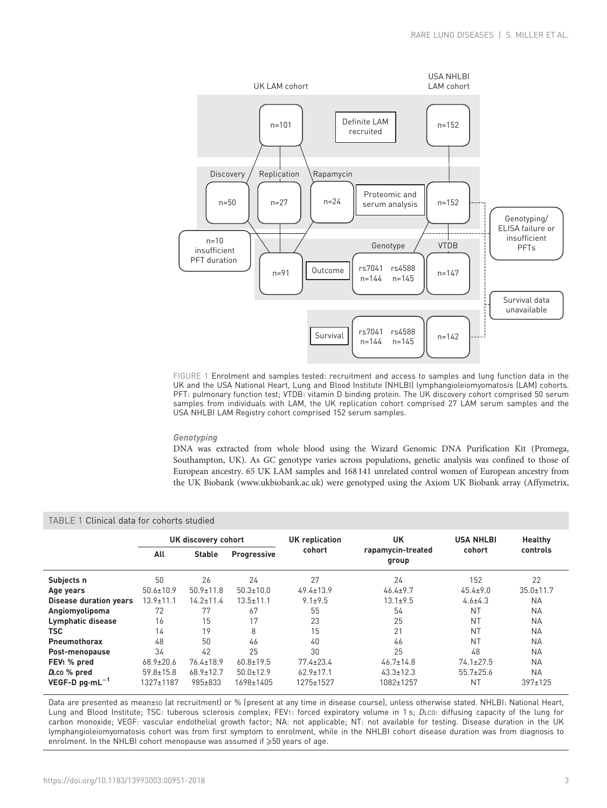<span id="page-2-0"></span>

FIGURE 1 Enrolment and samples tested: recruitment and access to samples and lung function data in the UK and the USA National Heart, Lung and Blood Institute (NHLBI) lymphangioleiomyomatosis (LAM) cohorts. PFT: pulmonary function test; VTDB: vitamin D binding protein. The UK discovery cohort comprised 50 serum samples from individuals with LAM, the UK replication cohort comprised 27 LAM serum samples and the USA NHLBI LAM Registry cohort comprised 152 serum samples.

# Genotyping

DNA was extracted from whole blood using the Wizard Genomic DNA Purification Kit (Promega, Southampton, UK). As GC genotype varies across populations, genetic analysis was confined to those of European ancestry. 65 UK LAM samples and 168 141 unrelated control women of European ancestry from the UK Biobank ([www.ukbiobank.ac.uk\)](http://www.ukbiobank.ac.uk/) were genotyped using the Axiom UK Biobank array (Affymetrix,

| Clinical data for cohorts studied<br>TABLE 1 |                     |                 |                    |                       |                            |                  |                 |  |  |  |
|----------------------------------------------|---------------------|-----------------|--------------------|-----------------------|----------------------------|------------------|-----------------|--|--|--|
|                                              | UK discovery cohort |                 |                    | <b>UK</b> replication | UK                         | <b>USA NHLBI</b> | <b>Healthy</b>  |  |  |  |
|                                              | All                 | <b>Stable</b>   | <b>Progressive</b> | cohort                | rapamycin-treated<br>group | cohort           | controls        |  |  |  |
| Subjects n                                   | 50                  | 26              | 24                 | 27                    | 24                         | 152              | 22              |  |  |  |
| Age years                                    | $50.6 \pm 10.9$     | $50.9 \pm 11.8$ | $50.3 \pm 10.0$    | $49.4 \pm 13.9$       | $46.4 \pm 9.7$             | $45.4 + 9.0$     | $35.0 \pm 11.7$ |  |  |  |
| <b>Disease duration years</b>                | $13.9 \pm 11.1$     | $14.2 \pm 11.4$ | $13.5 \pm 11.1$    | $9.1 \pm 9.5$         | $13.1 \pm 9.5$             | $4.6 \pm 4.3$    | <b>NA</b>       |  |  |  |
| Angiomyolipoma                               | 72                  | 77              | 67                 | 55                    | 54                         | <b>NT</b>        | <b>NA</b>       |  |  |  |
| Lymphatic disease                            | 16                  | 15              | 17                 | 23                    | 25                         | <b>NT</b>        | <b>NA</b>       |  |  |  |
| <b>TSC</b>                                   | 14                  | 19              | 8                  | 15                    | 21                         | <b>NT</b>        | <b>NA</b>       |  |  |  |
| <b>Pneumothorax</b>                          | 48                  | 50              | 46                 | 40                    | 46                         | <b>NT</b>        | <b>NA</b>       |  |  |  |
| Post-menopause                               | 34                  | 42              | 25                 | 30                    | 25                         | 48               | <b>NA</b>       |  |  |  |
| FEV <sub>1</sub> % pred                      | $68.9 \pm 20.6$     | $76.4 \pm 18.9$ | $60.8 \pm 19.5$    | $77.4 \pm 23.4$       | $46.7 \pm 14.8$            | $74.1 \pm 27.5$  | <b>NA</b>       |  |  |  |
| D <sub>L</sub> co % pred                     | $59.8 \pm 15.8$     | $68.9 \pm 12.7$ | $50.0 \pm 12.9$    | $62.9 \pm 17.1$       | $43.3 \pm 12.3$            | $55.7 \pm 25.6$  | <b>NA</b>       |  |  |  |
| $VEGF-D$ pq $\cdot mL^{-1}$                  | 1327±1187           | 985±833         | 1698±1405          | 1275±1527             | 1082±1257                  | <b>NT</b>        | $397 \pm 125$   |  |  |  |

# Data are presented as mean±sp (at recruitment) or % (present at any time in disease course), unless otherwise stated. NHLBI: National Heart, Lung and Blood Institute; TSC: tuberous sclerosis complex; FEV1: forced expiratory volume in 1 s; DLCO: diffusing capacity of the lung for carbon monoxide; VEGF: vascular endothelial growth factor; NA: not applicable; NT: not available for testing. Disease duration in the UK lymphangioleiomyomatosis cohort was from first symptom to enrolment, while in the NHLBI cohort disease duration was from diagnosis to enrolment. In the NHLBI cohort menopause was assumed if  $\geqslant50$  years of age.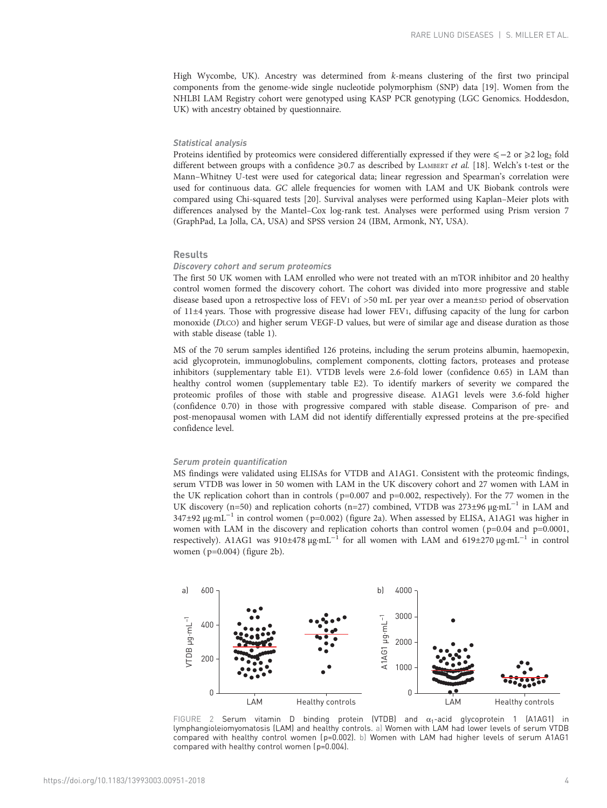High Wycombe, UK). Ancestry was determined from k-means clustering of the first two principal components from the genome-wide single nucleotide polymorphism (SNP) data [\[19\]](#page-8-0). Women from the NHLBI LAM Registry cohort were genotyped using KASP PCR genotyping (LGC Genomics. Hoddesdon, UK) with ancestry obtained by questionnaire.

# Statistical analysis

Proteins identified by proteomics were considered differentially expressed if they were ≤−2 or ≥2 log<sub>2</sub> fold different between groups with a confidence  $\geq 0.7$  as described by LAMBERT et al. [\[18\]](#page-8-0). Welch's t-test or the Mann–Whitney U-test were used for categorical data; linear regression and Spearman's correlation were used for continuous data. GC allele frequencies for women with LAM and UK Biobank controls were compared using Chi-squared tests [\[20\]](#page-8-0). Survival analyses were performed using Kaplan–Meier plots with differences analysed by the Mantel–Cox log-rank test. Analyses were performed using Prism version 7 (GraphPad, La Jolla, CA, USA) and SPSS version 24 (IBM, Armonk, NY, USA).

# Results

#### Discovery cohort and serum proteomics

The first 50 UK women with LAM enrolled who were not treated with an mTOR inhibitor and 20 healthy control women formed the discovery cohort. The cohort was divided into more progressive and stable disease based upon a retrospective loss of FEV1 of >50 mL per year over a mean±sp period of observation of 11±4 years. Those with progressive disease had lower FEV1, diffusing capacity of the lung for carbon monoxide (DLCO) and higher serum VEGF-D values, but were of similar age and disease duration as those with stable disease [\(table 1\)](#page-2-0).

MS of the 70 serum samples identified 126 proteins, including the serum proteins albumin, haemopexin, acid glycoprotein, immunoglobulins, complement components, clotting factors, proteases and protease inhibitors [\(supplementary table E1\)](http://erj.ersjournals.com/lookup/doi/10.1183/13993003.00951-2018.figures-only#fig-data-supplementary-materials). VTDB levels were 2.6-fold lower (confidence 0.65) in LAM than healthy control women ([supplementary table E2](http://erj.ersjournals.com/lookup/doi/10.1183/13993003.00951-2018.figures-only#fig-data-supplementary-materials)). To identify markers of severity we compared the proteomic profiles of those with stable and progressive disease. A1AG1 levels were 3.6-fold higher (confidence 0.70) in those with progressive compared with stable disease. Comparison of pre- and post-menopausal women with LAM did not identify differentially expressed proteins at the pre-specified confidence level.

#### Serum protein quantification

MS findings were validated using ELISAs for VTDB and A1AG1. Consistent with the proteomic findings, serum VTDB was lower in 50 women with LAM in the UK discovery cohort and 27 women with LAM in the UK replication cohort than in controls ( $p=0.007$  and  $p=0.002$ , respectively). For the 77 women in the UK discovery (n=50) and replication cohorts (n=27) combined, VTDB was 273±96  $\mu$ g·mL<sup>-1</sup> in LAM and 347±92 µg·mL−<sup>1</sup> in control women ( p=0.002) (figure 2a). When assessed by ELISA, A1AG1 was higher in women with LAM in the discovery and replication cohorts than control women ( $p=0.04$  and  $p=0.0001$ , respectively). A1AG1 was 910±478 µg·mL<sup>-1</sup> for all women with LAM and 619±270 µg·mL<sup>-1</sup> in control women ( p=0.004) (figure 2b).



FIGURE 2 Serum vitamin D binding protein (VTDB) and  $\alpha_1$ -acid glycoprotein 1 (A1AG1) in lymphangioleiomyomatosis (LAM) and healthy controls. a) Women with LAM had lower levels of serum VTDB compared with healthy control women (p=0.002). b) Women with LAM had higher levels of serum A1AG1 compared with healthy control women (p=0.004).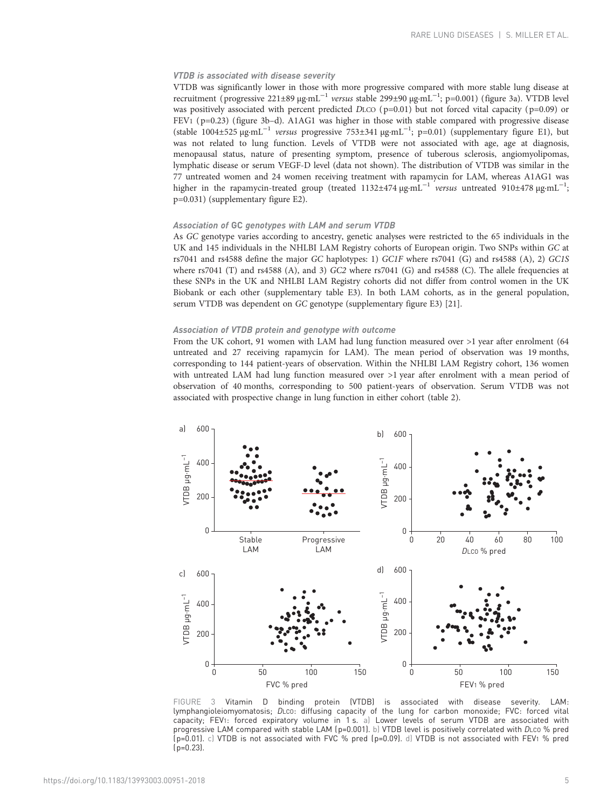# VTDB is associated with disease severity

VTDB was significantly lower in those with more progressive compared with more stable lung disease at recruitment (progressive 221±89 μg·mL<sup>-1</sup> versus stable 299±90 μg·mL<sup>-1</sup>; p=0.001) (figure 3a). VTDB level was positively associated with percent predicted DLCO ( $p=0.01$ ) but not forced vital capacity ( $p=0.09$ ) or FEV1 ( p=0.23) (figure 3b–d). A1AG1 was higher in those with stable compared with progressive disease (stable 1004±525 µg·mL−<sup>1</sup> versus progressive 753±341 µg·mL−<sup>1</sup> ; p=0.01) [\(supplementary figure E1](http://erj.ersjournals.com/lookup/doi/10.1183/13993003.00951-2018.figures-only#fig-data-supplementary-materials)), but was not related to lung function. Levels of VTDB were not associated with age, age at diagnosis, menopausal status, nature of presenting symptom, presence of tuberous sclerosis, angiomyolipomas, lymphatic disease or serum VEGF-D level (data not shown). The distribution of VTDB was similar in the 77 untreated women and 24 women receiving treatment with rapamycin for LAM, whereas A1AG1 was higher in the rapamycin-treated group (treated 1132±474  $\mu$ g·mL<sup>-1</sup> versus untreated 910±478  $\mu$ g·mL<sup>-1</sup>; p=0.031) ([supplementary figure E2\)](http://erj.ersjournals.com/lookup/doi/10.1183/13993003.00951-2018.figures-only#fig-data-supplementary-materials).

#### Association of GC genotypes with LAM and serum VTDB

As GC genotype varies according to ancestry, genetic analyses were restricted to the 65 individuals in the UK and 145 individuals in the NHLBI LAM Registry cohorts of European origin. Two SNPs within GC at rs7041 and rs4588 define the major GC haplotypes: 1) GC1F where rs7041 (G) and rs4588 (A), 2) GC1S where rs7041 (T) and rs4588 (A), and 3) GC2 where rs7041 (G) and rs4588 (C). The allele frequencies at these SNPs in the UK and NHLBI LAM Registry cohorts did not differ from control women in the UK Biobank or each other [\(supplementary table E3\)](http://erj.ersjournals.com/lookup/doi/10.1183/13993003.00951-2018.figures-only#fig-data-supplementary-materials). In both LAM cohorts, as in the general population, serum VTDB was dependent on GC genotype [\(supplementary figure E3](http://erj.ersjournals.com/lookup/doi/10.1183/13993003.00951-2018.figures-only#fig-data-supplementary-materials)) [[21\]](#page-8-0).

#### Association of VTDB protein and genotype with outcome

From the UK cohort, 91 women with LAM had lung function measured over >1 year after enrolment (64 untreated and 27 receiving rapamycin for LAM). The mean period of observation was 19 months, corresponding to 144 patient-years of observation. Within the NHLBI LAM Registry cohort, 136 women with untreated LAM had lung function measured over >1 year after enrolment with a mean period of observation of 40 months, corresponding to 500 patient-years of observation. Serum VTDB was not associated with prospective change in lung function in either cohort ([table 2](#page-5-0)).



FIGURE 3 Vitamin D binding protein (VTDB) is associated with disease severity. LAM: lymphangioleiomyomatosis; DLCO: diffusing capacity of the lung for carbon monoxide; FVC: forced vital capacity; FEV1: forced expiratory volume in 1 s. a) Lower levels of serum VTDB are associated with progressive LAM compared with stable LAM (p=0.001). b) VTDB level is positively correlated with DLco % pred (p=0.01). c) VTDB is not associated with FVC % pred (p=0.09). d) VTDB is not associated with FEV1 % pred  $(p=0.23)$ .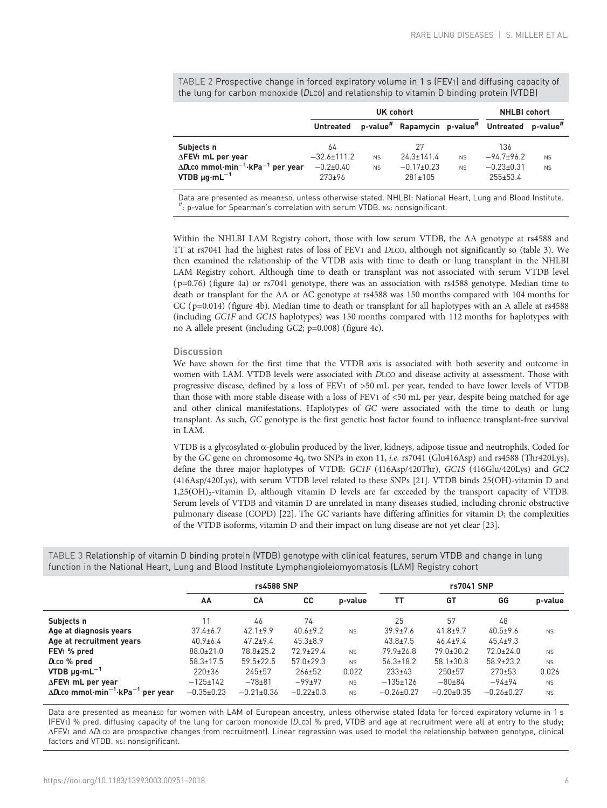<span id="page-5-0"></span>TABLE 2 Prospective change in forced expiratory volume in 1 s (FEV1) and diffusing capacity of the lung for carbon monoxide (DLCO) and relationship to vitamin D binding protein (VTDB)

|                                                                                                                                          | UK cohort                                            |                        |                                                         |                        | <b>NHLBI</b> cohort                                       |                        |  |
|------------------------------------------------------------------------------------------------------------------------------------------|------------------------------------------------------|------------------------|---------------------------------------------------------|------------------------|-----------------------------------------------------------|------------------------|--|
|                                                                                                                                          | <b>Untreated</b>                                     |                        | p-value" Rapamycin p-value" Untreated p-value"          |                        |                                                           |                        |  |
| Subjects n<br>ΔFEV <sub>1</sub> mL per year<br>$\Delta D$ commol $\cdot$ min $^{-1}$ ·kPa $^{-1}$ per year<br>VTDB $\mu q \cdot mL^{-1}$ | 64<br>$-32.6 \pm 111.2$<br>$-0.2+0.40$<br>$273 + 96$ | <b>NS</b><br><b>NS</b> | 27<br>$24.3 \pm 141.4$<br>$-0.17+0.23$<br>$281 \pm 105$ | <b>NS</b><br><b>NS</b> | 136<br>$-94.7+96.2$<br>$-0.23 \pm 0.31$<br>$255 \pm 53.4$ | <b>NS</b><br><b>NS</b> |  |

Data are presented as mean±sp, unless otherwise stated. NHLBI: National Heart, Lung and Blood Institute. : p-value for Spearman's correlation with serum VTDB. NS: nonsignificant.

Within the NHLBI LAM Registry cohort, those with low serum VTDB, the AA genotype at rs4588 and TT at rs7041 had the highest rates of loss of FEV1 and DLCO, although not significantly so (table 3). We then examined the relationship of the VTDB axis with time to death or lung transplant in the NHLBI LAM Registry cohort. Although time to death or transplant was not associated with serum VTDB level ( p=0.76) [\(figure 4a](#page-6-0)) or rs7041 genotype, there was an association with rs4588 genotype. Median time to death or transplant for the AA or AC genotype at rs4588 was 150 months compared with 104 months for CC ( p=0.014) ([figure 4b\)](#page-6-0). Median time to death or transplant for all haplotypes with an A allele at rs4588 (including GC1F and GC1S haplotypes) was 150 months compared with 112 months for haplotypes with no A allele present (including GC2; p=0.008) [\(figure 4c](#page-6-0)).

## **Discussion**

We have shown for the first time that the VTDB axis is associated with both severity and outcome in women with LAM. VTDB levels were associated with DLCO and disease activity at assessment. Those with progressive disease, defined by a loss of FEV1 of >50 mL per year, tended to have lower levels of VTDB than those with more stable disease with a loss of FEV1 of <50 mL per year, despite being matched for age and other clinical manifestations. Haplotypes of GC were associated with the time to death or lung transplant. As such, GC genotype is the first genetic host factor found to influence transplant-free survival in LAM.

VTDB is a glycosylated α-globulin produced by the liver, kidneys, adipose tissue and neutrophils. Coded for by the GC gene on chromosome 4q, two SNPs in exon 11, i.e. rs7041 (Glu416Asp) and rs4588 (Thr420Lys), define the three major haplotypes of VTDB: GC1F (416Asp/420Thr), GC1S (416Glu/420Lys) and GC2 (416Asp/420Lys), with serum VTDB level related to these SNPs [\[21\]](#page-8-0). VTDB binds 25(OH)-vitamin D and  $1,25(OH)_2$ -vitamin D, although vitamin D levels are far exceeded by the transport capacity of VTDB. Serum levels of VTDB and vitamin D are unrelated in many diseases studied, including chronic obstructive pulmonary disease (COPD) [\[22\]](#page-8-0). The GC variants have differing affinities for vitamin D; the complexities of the VTDB isoforms, vitamin D and their impact on lung disease are not yet clear [[23](#page-8-0)].

|                                                                  | <b>rs4588 SNP</b> |                  |                 |           | rs7041 SNP       |                  |                  |           |
|------------------------------------------------------------------|-------------------|------------------|-----------------|-----------|------------------|------------------|------------------|-----------|
|                                                                  | AA                | CА               | <b>CC</b>       | p-value   | ΤT               | GT               | GG               | p-value   |
| Subjects n                                                       | 11                | 46               | 74              |           | 25               | 57               | 48               |           |
| Age at diagnosis years                                           | $37.4 + 6.7$      | $42.1 \pm 9.9$   | $40.6 \pm 9.2$  | <b>NS</b> | $39.9 \pm 7.6$   | $41.8 + 9.7$     | $40.5 + 9.6$     | <b>NS</b> |
| Age at recruitment years                                         | $40.9 + 6.4$      | $47.2 + 9.4$     | $45.3 \pm 8.9$  |           | $43.8 \pm 7.5$   | $46.4 \pm 9.4$   | $45.4 \pm 9.3$   |           |
| FEV <sub>1</sub> % pred                                          | $88.0 \pm 21.0$   | $78.8 \pm 25.2$  | $72.9 \pm 29.4$ | <b>NS</b> | $79.9 \pm 26.8$  | $79.0 \pm 30.2$  | $72.0 \pm 24.0$  | <b>NS</b> |
| D <sub>L</sub> co % pred                                         | $58.3 \pm 17.5$   | $59.5 \pm 22.5$  | $57.0 \pm 29.3$ | <b>NS</b> | $56.3 \pm 18.2$  | $58.1 \pm 30.8$  | $58.9 \pm 23.2$  | <b>NS</b> |
| $VTDB \mu q \cdot mL^{-1}$                                       | $220 \pm 36$      | $245 \pm 57$     | $266 \pm 52$    | 0.022     | $233 \pm 43$     | 250±57           | $270 + 53$       | 0.026     |
| $\Delta$ FEV <sub>1</sub> mL per year                            | $-125+142$        | $-78+81$         | $-99+97$        | <b>NS</b> | $-135+126$       | $-80+84$         | $-94+94$         | <b>NS</b> |
| $\Delta$ DLco mmol·min <sup>-1</sup> ·kPa <sup>-1</sup> per year | $-0.35+0.23$      | $-0.21 \pm 0.36$ | $-0.22 \pm 0.3$ | <b>NS</b> | $-0.26 \pm 0.27$ | $-0.20 \pm 0.35$ | $-0.26 \pm 0.27$ | <b>NS</b> |

TABLE 3 Relationship of vitamin D binding protein (VTDB) genotype with clinical features, serum VTDB and change in lung function in the National Heart, Lung and Blood Institute Lymphangioleiomyomatosis (LAM) Registry cohort

Data are presented as mean±sp for women with LAM of European ancestry, unless otherwise stated (data for forced expiratory volume in 1 s (FEV1) % pred, diffusing capacity of the lung for carbon monoxide (DLCO) % pred, VTDB and age at recruitment were all at entry to the study; ΔFEV1 and ΔDLCO are prospective changes from recruitment). Linear regression was used to model the relationship between genotype, clinical factors and VTDB. Ns: nonsignificant.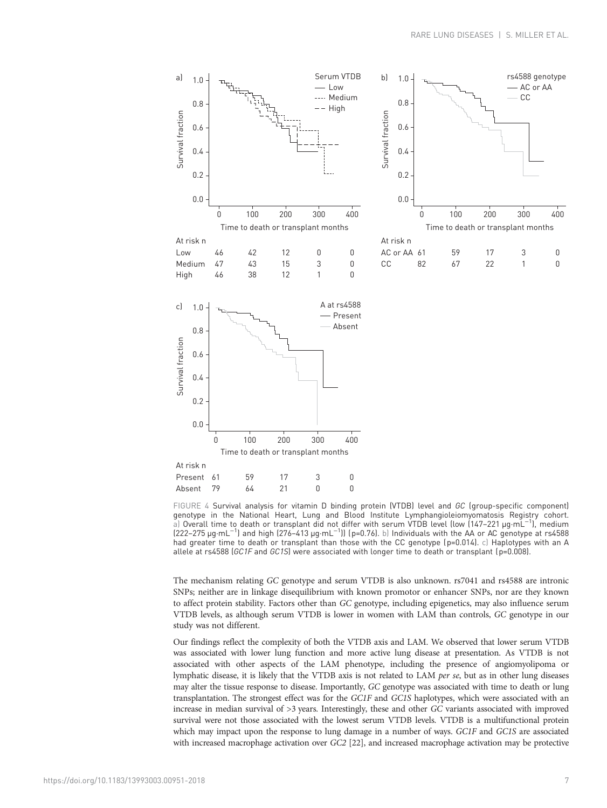<span id="page-6-0"></span>

FIGURE 4 Survival analysis for vitamin D binding protein (VTDB) level and GC (group-specific component) genotype in the National Heart, Lung and Blood Institute Lymphangioleiomyomatosis Registry cohort. a) Overall time to death or transplant did not differ with serum VTDB level (low (147–221 µg·mL−<sup>1</sup> ), medium (222–275 µg·mL−<sup>1</sup> ) and high (276–413 µg·mL−<sup>1</sup> )) (p=0.76). b) Individuals with the AA or AC genotype at rs4588 had greater time to death or transplant than those with the CC genotype (p=0.014). c) Haplotypes with an A allele at rs4588 ( $GCIF$  and  $GCIS$ ) were associated with longer time to death or transplant ( $p=0.008$ ).

The mechanism relating GC genotype and serum VTDB is also unknown. rs7041 and rs4588 are intronic SNPs; neither are in linkage disequilibrium with known promotor or enhancer SNPs, nor are they known to affect protein stability. Factors other than GC genotype, including epigenetics, may also influence serum VTDB levels, as although serum VTDB is lower in women with LAM than controls, GC genotype in our study was not different.

Our findings reflect the complexity of both the VTDB axis and LAM. We observed that lower serum VTDB was associated with lower lung function and more active lung disease at presentation. As VTDB is not associated with other aspects of the LAM phenotype, including the presence of angiomyolipoma or lymphatic disease, it is likely that the VTDB axis is not related to LAM per se, but as in other lung diseases may alter the tissue response to disease. Importantly, GC genotype was associated with time to death or lung transplantation. The strongest effect was for the GC1F and GC1S haplotypes, which were associated with an increase in median survival of >3 years. Interestingly, these and other GC variants associated with improved survival were not those associated with the lowest serum VTDB levels. VTDB is a multifunctional protein which may impact upon the response to lung damage in a number of ways. GC1F and GC1S are associated with increased macrophage activation over GC2 [\[22\]](#page-8-0), and increased macrophage activation may be protective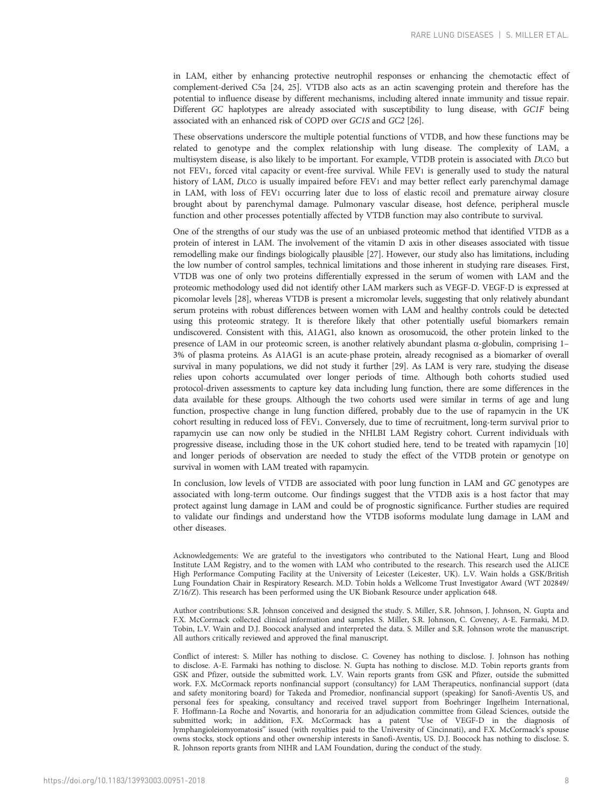in LAM, either by enhancing protective neutrophil responses or enhancing the chemotactic effect of complement-derived C5a [\[24, 25](#page-8-0)]. VTDB also acts as an actin scavenging protein and therefore has the potential to influence disease by different mechanisms, including altered innate immunity and tissue repair. Different GC haplotypes are already associated with susceptibility to lung disease, with GC1F being associated with an enhanced risk of COPD over GC1S and GC2 [\[26\]](#page-8-0).

These observations underscore the multiple potential functions of VTDB, and how these functions may be related to genotype and the complex relationship with lung disease. The complexity of LAM, a multisystem disease, is also likely to be important. For example, VTDB protein is associated with DLCO but not FEV1, forced vital capacity or event-free survival. While FEV1 is generally used to study the natural history of LAM, DLCO is usually impaired before FEV1 and may better reflect early parenchymal damage in LAM, with loss of FEV1 occurring later due to loss of elastic recoil and premature airway closure brought about by parenchymal damage. Pulmonary vascular disease, host defence, peripheral muscle function and other processes potentially affected by VTDB function may also contribute to survival.

One of the strengths of our study was the use of an unbiased proteomic method that identified VTDB as a protein of interest in LAM. The involvement of the vitamin D axis in other diseases associated with tissue remodelling make our findings biologically plausible [[27](#page-8-0)]. However, our study also has limitations, including the low number of control samples, technical limitations and those inherent in studying rare diseases. First, VTDB was one of only two proteins differentially expressed in the serum of women with LAM and the proteomic methodology used did not identify other LAM markers such as VEGF-D. VEGF-D is expressed at picomolar levels [\[28\]](#page-8-0), whereas VTDB is present a micromolar levels, suggesting that only relatively abundant serum proteins with robust differences between women with LAM and healthy controls could be detected using this proteomic strategy. It is therefore likely that other potentially useful biomarkers remain undiscovered. Consistent with this, A1AG1, also known as orosomucoid, the other protein linked to the presence of LAM in our proteomic screen, is another relatively abundant plasma α-globulin, comprising 1– 3% of plasma proteins. As A1AG1 is an acute-phase protein, already recognised as a biomarker of overall survival in many populations, we did not study it further [\[29\]](#page-8-0). As LAM is very rare, studying the disease relies upon cohorts accumulated over longer periods of time. Although both cohorts studied used protocol-driven assessments to capture key data including lung function, there are some differences in the data available for these groups. Although the two cohorts used were similar in terms of age and lung function, prospective change in lung function differed, probably due to the use of rapamycin in the UK cohort resulting in reduced loss of FEV1. Conversely, due to time of recruitment, long-term survival prior to rapamycin use can now only be studied in the NHLBI LAM Registry cohort. Current individuals with progressive disease, including those in the UK cohort studied here, tend to be treated with rapamycin [[10](#page-8-0)] and longer periods of observation are needed to study the effect of the VTDB protein or genotype on survival in women with LAM treated with rapamycin.

In conclusion, low levels of VTDB are associated with poor lung function in LAM and GC genotypes are associated with long-term outcome. Our findings suggest that the VTDB axis is a host factor that may protect against lung damage in LAM and could be of prognostic significance. Further studies are required to validate our findings and understand how the VTDB isoforms modulate lung damage in LAM and other diseases.

Acknowledgements: We are grateful to the investigators who contributed to the National Heart, Lung and Blood Institute LAM Registry, and to the women with LAM who contributed to the research. This research used the ALICE High Performance Computing Facility at the University of Leicester (Leicester, UK). L.V. Wain holds a GSK/British Lung Foundation Chair in Respiratory Research. M.D. Tobin holds a Wellcome Trust Investigator Award (WT 202849/ Z/16/Z). This research has been performed using the UK Biobank Resource under application 648.

Author contributions: S.R. Johnson conceived and designed the study. S. Miller, S.R. Johnson, J. Johnson, N. Gupta and F.X. McCormack collected clinical information and samples. S. Miller, S.R. Johnson, C. Coveney, A-E. Farmaki, M.D. Tobin, L.V. Wain and D.J. Boocock analysed and interpreted the data. S. Miller and S.R. Johnson wrote the manuscript. All authors critically reviewed and approved the final manuscript.

Conflict of interest: S. Miller has nothing to disclose. C. Coveney has nothing to disclose. J. Johnson has nothing to disclose. A-E. Farmaki has nothing to disclose. N. Gupta has nothing to disclose. M.D. Tobin reports grants from GSK and Pfizer, outside the submitted work. L.V. Wain reports grants from GSK and Pfizer, outside the submitted work. F.X. McCormack reports nonfinancial support (consultancy) for LAM Therapeutics, nonfinancial support (data and safety monitoring board) for Takeda and Promedior, nonfinancial support (speaking) for Sanofi-Aventis US, and personal fees for speaking, consultancy and received travel support from Boehringer Ingelheim International, F. Hoffmann-La Roche and Novartis, and honoraria for an adjudication committee from Gilead Sciences, outside the submitted work; in addition, F.X. McCormack has a patent "Use of VEGF-D in the diagnosis of lymphangioleiomyomatosis" issued (with royalties paid to the University of Cincinnati), and F.X. McCormack's spouse owns stocks, stock options and other ownership interests in Sanofi-Aventis, US. D.J. Boocock has nothing to disclose. S. R. Johnson reports grants from NIHR and LAM Foundation, during the conduct of the study.